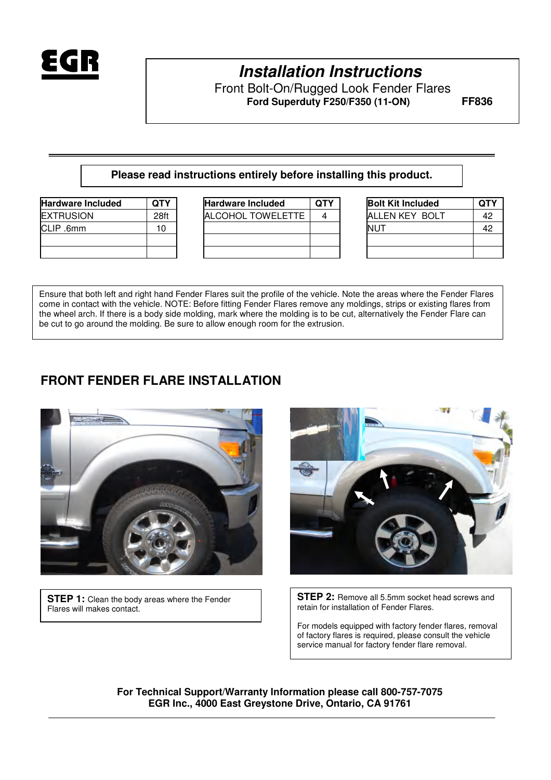

# **Installation Instructions**

Front Bolt-On/Rugged Look Fender Flares  **Ford Superduty F250/F350 (11-ON) FF836** 

#### **Please read instructions entirely before installing this product.**

| <b>Hardware Included</b> | <b>OTY</b> |
|--------------------------|------------|
| <b>EXTRUSION</b>         | 28ft       |
| CLIP .6mm                | 10         |
|                          |            |
|                          |            |

| <b>Hardware Included</b> | QTY  | <b>Hardware Included</b> | <b>QTY</b> | <b>Bolt Kit Included</b> | QTY |
|--------------------------|------|--------------------------|------------|--------------------------|-----|
| <b>EXTRUSION</b>         | 28ft | ALCOHOL TOWELETTE        | 4          | <b>ALLEN KEY BOLT</b>    | 42  |
| CLIP .6mm                | 10   |                          |            | <b>NUT</b>               | 42  |
|                          |      |                          |            |                          |     |
|                          |      |                          |            |                          |     |

| <b>Bolt Kit Included</b> | <b>QTY</b> |
|--------------------------|------------|
| ALLEN KEY BOLT           | 42         |
| NUT                      | 42         |
|                          |            |
|                          |            |

Ensure that both left and right hand Fender Flares suit the profile of the vehicle. Note the areas where the Fender Flares come in contact with the vehicle. NOTE: Before fitting Fender Flares remove any moldings, strips or existing flares from the wheel arch. If there is a body side molding, mark where the molding is to be cut, alternatively the Fender Flare can be cut to go around the molding. Be sure to allow enough room for the extrusion.

#### **FRONT FENDER FLARE INSTALLATION**



**STEP 1:** Clean the body areas where the Fender Flares will makes contact.



**STEP 2:** Remove all 5.5mm socket head screws and retain for installation of Fender Flares.

For models equipped with factory fender flares, removal of factory flares is required, please consult the vehicle service manual for factory fender flare removal.

**For Technical Support/Warranty Information please call 800-757-7075 EGR Inc., 4000 East Greystone Drive, Ontario, CA 91761**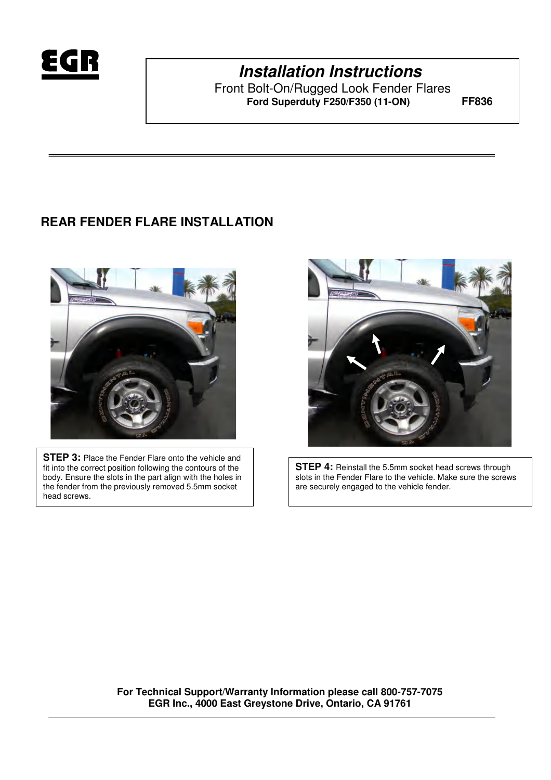

# **Installation Instructions**

Front Bolt-On/Rugged Look Fender Flares  **Ford Superduty F250/F350 (11-ON) FF836** 

### **REAR FENDER FLARE INSTALLATION**



**STEP 3: Place the Fender Flare onto the vehicle and** fit into the correct position following the contours of the body. Ensure the slots in the part align with the holes in the fender from the previously removed 5.5mm socket head screws.



**STEP 4:** Reinstall the 5.5mm socket head screws through slots in the Fender Flare to the vehicle. Make sure the screws are securely engaged to the vehicle fender.

**For Technical Support/Warranty Information please call 800-757-7075 EGR Inc., 4000 East Greystone Drive, Ontario, CA 91761**